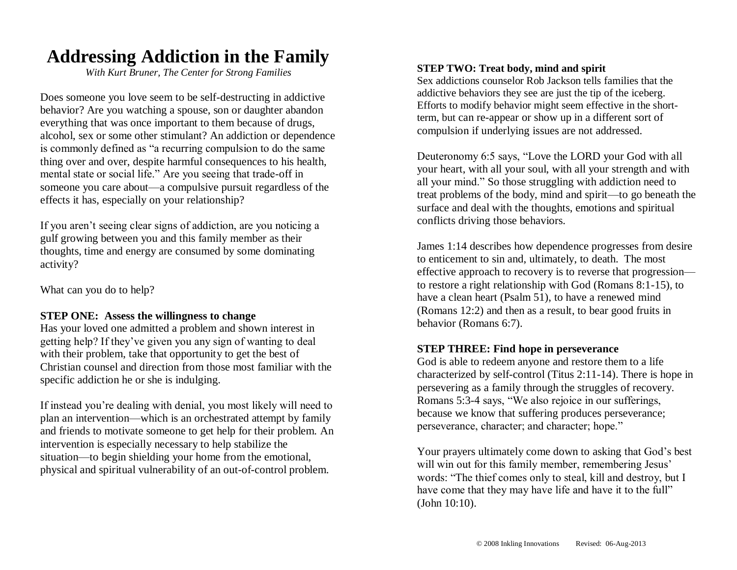## **Addressing Addiction in the Family**

*With Kurt Bruner, The Center for Strong Families*

Does someone you love seem to be self-destructing in addictive behavior? Are you watching a spouse, son or daughter abandon everything that was once important to them because of drugs, alcohol, sex or some other stimulant? An addiction or dependence is commonly defined as "a recurring compulsion to do the same thing over and over, despite harmful consequences to his health, mental state or social life." Are you seeing that trade-off in someone you care about—a compulsive pursuit regardless of the effects it has, especially on your relationship?

If you aren't seeing clear signs of addiction, are you noticing a gulf growing between you and this family member as their thoughts, time and energy are consumed by some dominating activity?

What can you do to help?

#### **STEP ONE: Assess the willingness to change**

Has your loved one admitted a problem and shown interest in getting help? If they've given you any sign of wanting to deal with their problem, take that opportunity to get the best of Christian counsel and direction from those most familiar with the specific addiction he or she is indulging.

If instead you're dealing with denial, you most likely will need to plan an intervention—which is an orchestrated attempt by family and friends to motivate someone to get help for their problem. An intervention is especially necessary to help stabilize the situation—to begin shielding your home from the emotional, physical and spiritual vulnerability of an out-of-control problem.

#### **STEP TWO: Treat body, mind and spirit**

Sex addictions counselor Rob Jackson tells families that the addictive behaviors they see are just the tip of the iceberg. Efforts to modify behavior might seem effective in the shortterm, but can re-appear or show up in a different sort of compulsion if underlying issues are not addressed.

Deuteronomy 6:5 says, "Love the LORD your God with all your heart, with all your soul, with all your strength and with all your mind." So those struggling with addiction need to treat problems of the body, mind and spirit—to go beneath the surface and deal with the thoughts, emotions and spiritual conflicts driving those behaviors.

James 1:14 describes how dependence progresses from desire to enticement to sin and, ultimately, to death. The most effective approach to recovery is to reverse that progression to restore a right relationship with God (Romans 8:1-15), to have a clean heart (Psalm 51), to have a renewed mind (Romans 12:2) and then as a result, to bear good fruits in behavior (Romans 6:7).

#### **STEP THREE: Find hope in perseverance**

God is able to redeem anyone and restore them to a life characterized by self-control (Titus 2:11-14). There is hope in persevering as a family through the struggles of recovery. Romans 5:3-4 says, "We also rejoice in our sufferings, because we know that suffering produces perseverance; perseverance, character; and character; hope."

Your prayers ultimately come down to asking that God's best will win out for this family member, remembering Jesus' words: "The thief comes only to steal, kill and destroy, but I have come that they may have life and have it to the full" (John 10:10).